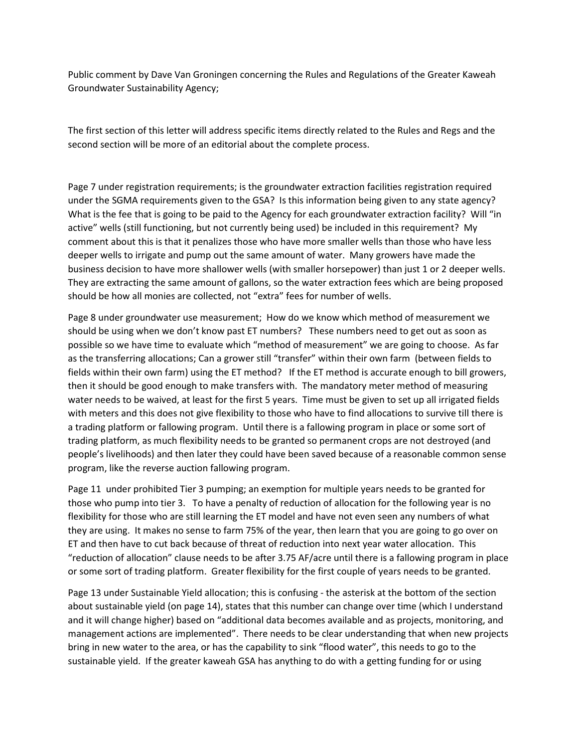Public comment by Dave Van Groningen concerning the Rules and Regulations of the Greater Kaweah Groundwater Sustainability Agency;

The first section of this letter will address specific items directly related to the Rules and Regs and the second section will be more of an editorial about the complete process.

Page 7 under registration requirements; is the groundwater extraction facilities registration required under the SGMA requirements given to the GSA? Is this information being given to any state agency? What is the fee that is going to be paid to the Agency for each groundwater extraction facility? Will "in active" wells (still functioning, but not currently being used) be included in this requirement? My comment about this is that it penalizes those who have more smaller wells than those who have less deeper wells to irrigate and pump out the same amount of water. Many growers have made the business decision to have more shallower wells (with smaller horsepower) than just 1 or 2 deeper wells. They are extracting the same amount of gallons, so the water extraction fees which are being proposed should be how all monies are collected, not "extra" fees for number of wells.

Page 8 under groundwater use measurement; How do we know which method of measurement we should be using when we don't know past ET numbers? These numbers need to get out as soon as possible so we have time to evaluate which "method of measurement" we are going to choose. As far as the transferring allocations; Can a grower still "transfer" within their own farm (between fields to fields within their own farm) using the ET method? If the ET method is accurate enough to bill growers, then it should be good enough to make transfers with. The mandatory meter method of measuring water needs to be waived, at least for the first 5 years. Time must be given to set up all irrigated fields with meters and this does not give flexibility to those who have to find allocations to survive till there is a trading platform or fallowing program. Until there is a fallowing program in place or some sort of trading platform, as much flexibility needs to be granted so permanent crops are not destroyed (and people's livelihoods) and then later they could have been saved because of a reasonable common sense program, like the reverse auction fallowing program.

Page 11 under prohibited Tier 3 pumping; an exemption for multiple years needs to be granted for those who pump into tier 3. To have a penalty of reduction of allocation for the following year is no flexibility for those who are still learning the ET model and have not even seen any numbers of what they are using. It makes no sense to farm 75% of the year, then learn that you are going to go over on ET and then have to cut back because of threat of reduction into next year water allocation. This "reduction of allocation" clause needs to be after 3.75 AF/acre until there is a fallowing program in place or some sort of trading platform. Greater flexibility for the first couple of years needs to be granted.

Page 13 under Sustainable Yield allocation; this is confusing - the asterisk at the bottom of the section about sustainable yield (on page 14), states that this number can change over time (which I understand and it will change higher) based on "additional data becomes available and as projects, monitoring, and management actions are implemented". There needs to be clear understanding that when new projects bring in new water to the area, or has the capability to sink "flood water", this needs to go to the sustainable yield. If the greater kaweah GSA has anything to do with a getting funding for or using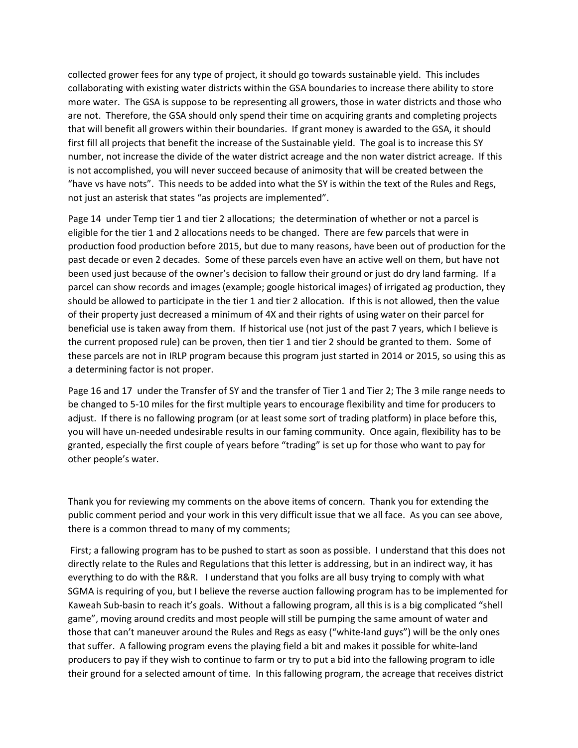collected grower fees for any type of project, it should go towards sustainable yield. This includes collaborating with existing water districts within the GSA boundaries to increase there ability to store more water. The GSA is suppose to be representing all growers, those in water districts and those who are not. Therefore, the GSA should only spend their time on acquiring grants and completing projects that will benefit all growers within their boundaries. If grant money is awarded to the GSA, it should first fill all projects that benefit the increase of the Sustainable yield. The goal is to increase this SY number, not increase the divide of the water district acreage and the non water district acreage. If this is not accomplished, you will never succeed because of animosity that will be created between the "have vs have nots". This needs to be added into what the SY is within the text of the Rules and Regs, not just an asterisk that states "as projects are implemented".

Page 14 under Temp tier 1 and tier 2 allocations; the determination of whether or not a parcel is eligible for the tier 1 and 2 allocations needs to be changed. There are few parcels that were in production food production before 2015, but due to many reasons, have been out of production for the past decade or even 2 decades. Some of these parcels even have an active well on them, but have not been used just because of the owner's decision to fallow their ground or just do dry land farming. If a parcel can show records and images (example; google historical images) of irrigated ag production, they should be allowed to participate in the tier 1 and tier 2 allocation. If this is not allowed, then the value of their property just decreased a minimum of 4X and their rights of using water on their parcel for beneficial use is taken away from them. If historical use (not just of the past 7 years, which I believe is the current proposed rule) can be proven, then tier 1 and tier 2 should be granted to them. Some of these parcels are not in IRLP program because this program just started in 2014 or 2015, so using this as a determining factor is not proper.

Page 16 and 17 under the Transfer of SY and the transfer of Tier 1 and Tier 2; The 3 mile range needs to be changed to 5-10 miles for the first multiple years to encourage flexibility and time for producers to adjust. If there is no fallowing program (or at least some sort of trading platform) in place before this, you will have un-needed undesirable results in our faming community. Once again, flexibility has to be granted, especially the first couple of years before "trading" is set up for those who want to pay for other people's water.

Thank you for reviewing my comments on the above items of concern. Thank you for extending the public comment period and your work in this very difficult issue that we all face. As you can see above, there is a common thread to many of my comments;

 First; a fallowing program has to be pushed to start as soon as possible. I understand that this does not directly relate to the Rules and Regulations that this letter is addressing, but in an indirect way, it has everything to do with the R&R. I understand that you folks are all busy trying to comply with what SGMA is requiring of you, but I believe the reverse auction fallowing program has to be implemented for Kaweah Sub-basin to reach it's goals. Without a fallowing program, all this is is a big complicated "shell game", moving around credits and most people will still be pumping the same amount of water and those that can't maneuver around the Rules and Regs as easy ("white-land guys") will be the only ones that suffer. A fallowing program evens the playing field a bit and makes it possible for white-land producers to pay if they wish to continue to farm or try to put a bid into the fallowing program to idle their ground for a selected amount of time. In this fallowing program, the acreage that receives district